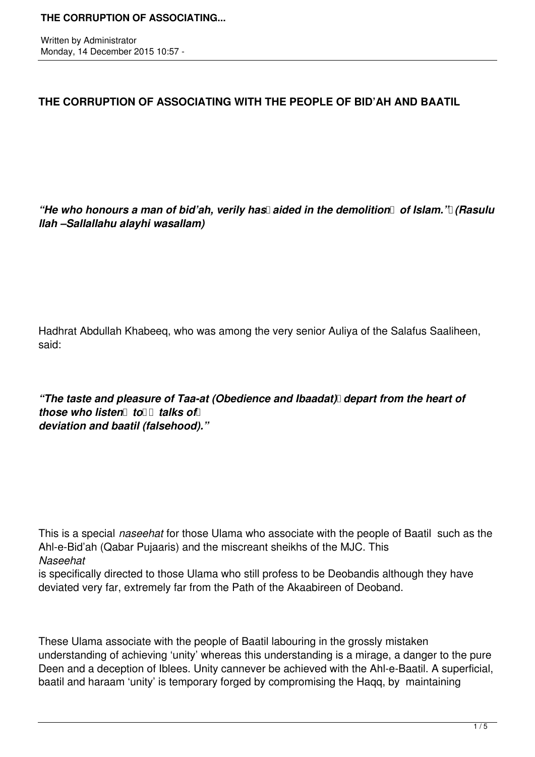Written by Administrator Monday, 14 December 2015 10:57 -

# **THE CORRUPTION OF ASSOCIATING WITH THE PEOPLE OF BID'AH AND BAATIL**

"He who honours a man of bid'ah, verily has aided in the demolition of Islam.'l (Rasulu *llah –Sallallahu alayhi wasallam)*

Hadhrat Abdullah Khabeeq, who was among the very senior Auliya of the Salafus Saaliheen, said:

*"The taste and pleasure of Taa-at (Obedience and Ibaadat) depart from the heart of those who listen*  $\text{tol}$  *talks of deviation and baatil (falsehood)."*

This is a special *naseehat* for those Ulama who associate with the people of Baatil such as the Ahl-e-Bid'ah (Qabar Pujaaris) and the miscreant sheikhs of the MJC. This *Naseehat*

is specifically directed to those Ulama who still profess to be Deobandis although they have deviated very far, extremely far from the Path of the Akaabireen of Deoband.

These Ulama associate with the people of Baatil labouring in the grossly mistaken understanding of achieving 'unity' whereas this understanding is a mirage, a danger to the pure Deen and a deception of Iblees. Unity cannever be achieved with the Ahl-e-Baatil. A superficial, baatil and haraam 'unity' is temporary forged by compromising the Haqq, by maintaining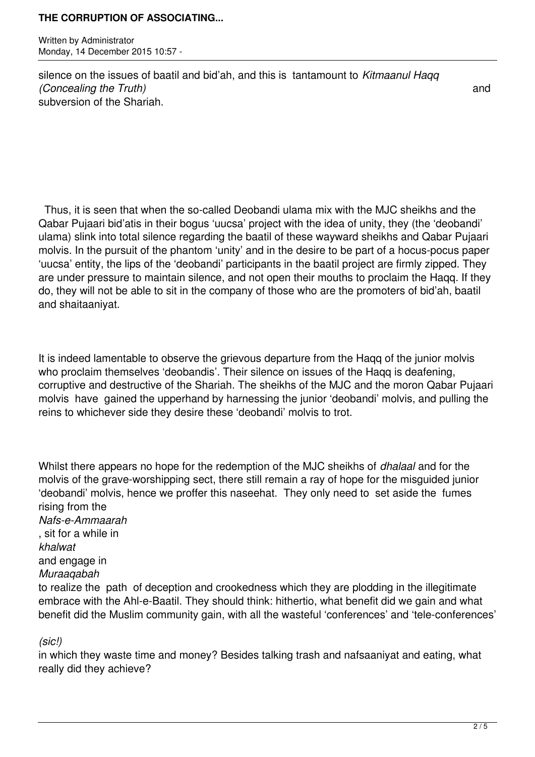Written by Administrator Monday, 14 December 2015 10:57 -

silence on the issues of baatil and bid'ah, and this is tantamount to *Kitmaanul Haqq (Concealing the Truth)* and subversion of the Shariah.

 Thus, it is seen that when the so-called Deobandi ulama mix with the MJC sheikhs and the Qabar Pujaari bid'atis in their bogus 'uucsa' project with the idea of unity, they (the 'deobandi' ulama) slink into total silence regarding the baatil of these wayward sheikhs and Qabar Pujaari molvis. In the pursuit of the phantom 'unity' and in the desire to be part of a hocus-pocus paper 'uucsa' entity, the lips of the 'deobandi' participants in the baatil project are firmly zipped. They are under pressure to maintain silence, and not open their mouths to proclaim the Haqq. If they do, they will not be able to sit in the company of those who are the promoters of bid'ah, baatil and shaitaaniyat.

It is indeed lamentable to observe the grievous departure from the Haqq of the junior molvis who proclaim themselves 'deobandis'. Their silence on issues of the Haqq is deafening, corruptive and destructive of the Shariah. The sheikhs of the MJC and the moron Qabar Pujaari molvis have gained the upperhand by harnessing the junior 'deobandi' molvis, and pulling the reins to whichever side they desire these 'deobandi' molvis to trot.

Whilst there appears no hope for the redemption of the MJC sheikhs of *dhalaal* and for the molvis of the grave-worshipping sect, there still remain a ray of hope for the misguided junior 'deobandi' molvis, hence we proffer this naseehat. They only need to set aside the fumes rising from the *Nafs-e-Ammaarah* , sit for a while in *khalwat*  and engage in *Muraaqabah*  to realize the path of deception and crookedness which they are plodding in the illegitimate embrace with the Ahl-e-Baatil. They should think: hithertio, what benefit did we gain and what benefit did the Muslim community gain, with all the wasteful 'conferences' and 'tele-conferences'

*(sic!)*

in which they waste time and money? Besides talking trash and nafsaaniyat and eating, what really did they achieve?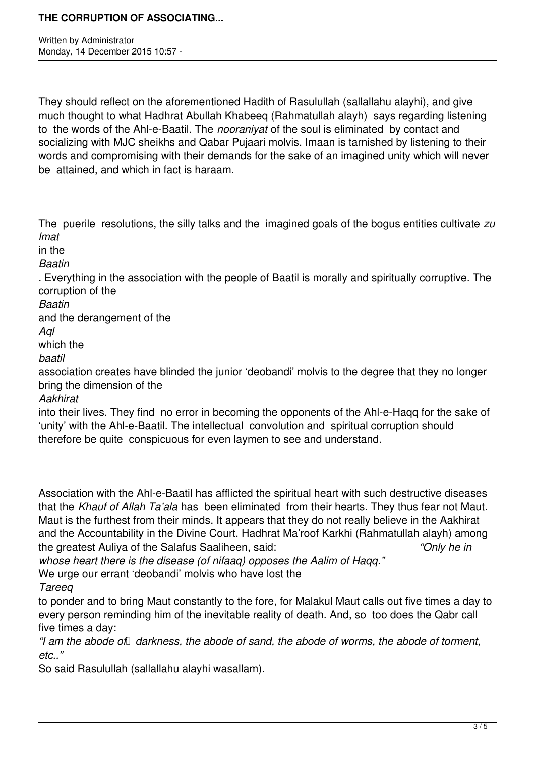Written by Administrator Monday, 14 December 2015 10:57 -

They should reflect on the aforementioned Hadith of Rasulullah (sallallahu alayhi), and give much thought to what Hadhrat Abullah Khabeeq (Rahmatullah alayh) says regarding listening to the words of the Ahl-e-Baatil. The *nooraniyat* of the soul is eliminated by contact and socializing with MJC sheikhs and Qabar Pujaari molvis. Imaan is tarnished by listening to their words and compromising with their demands for the sake of an imagined unity which will never be attained, and which in fact is haraam.

The puerile resolutions, the silly talks and the imagined goals of the bogus entities cultivate *zu lmat* 

in the

*Baatin*

. Everything in the association with the people of Baatil is morally and spiritually corruptive. The corruption of the

*Baatin* 

and the derangement of the

*Aql* 

which the

*baatil* 

association creates have blinded the junior 'deobandi' molvis to the degree that they no longer bring the dimension of the

*Aakhirat* 

into their lives. They find no error in becoming the opponents of the Ahl-e-Haqq for the sake of 'unity' with the Ahl-e-Baatil. The intellectual convolution and spiritual corruption should therefore be quite conspicuous for even laymen to see and understand.

Association with the Ahl-e-Baatil has afflicted the spiritual heart with such destructive diseases that the *Khauf of Allah Ta'ala* has been eliminated from their hearts. They thus fear not Maut. Maut is the furthest from their minds. It appears that they do not really believe in the Aakhirat and the Accountability in the Divine Court. Hadhrat Ma'roof Karkhi (Rahmatullah alayh) among the greatest Auliya of the Salafus Saaliheen, said: *"Only he in*

*whose heart there is the disease (of nifaaq) opposes the Aalim of Haqq."* 

We urge our errant 'deobandi' molvis who have lost the

*Tareeq*

to ponder and to bring Maut constantly to the fore, for Malakul Maut calls out five times a day to every person reminding him of the inevitable reality of death. And, so too does the Qabr call five times a day:

"I am the abode of *darkness, the abode of sand, the abode of worms, the abode of torment, etc.."* 

So said Rasulullah (sallallahu alayhi wasallam).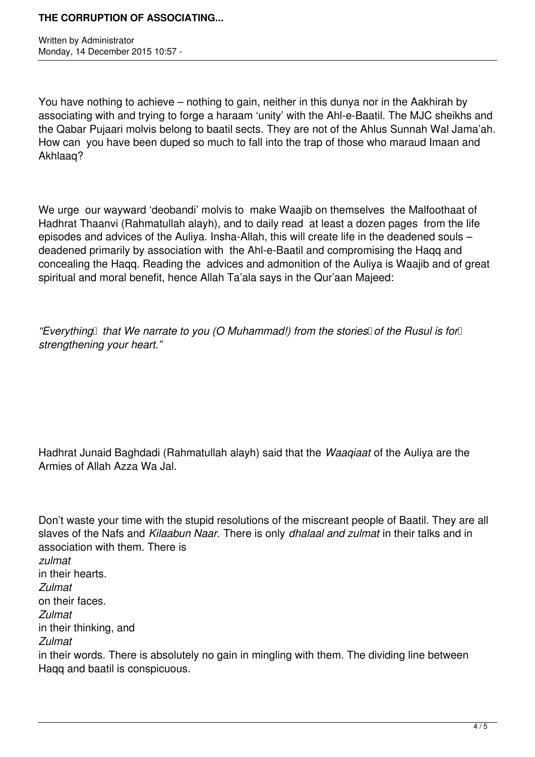Written by Administrator Monday, 14 December 2015 10:57 -

You have nothing to achieve – nothing to gain, neither in this dunya nor in the Aakhirah by associating with and trying to forge a haraam 'unity' with the Ahl-e-Baatil. The MJC sheikhs and the Qabar Pujaari molvis belong to baatil sects. They are not of the Ahlus Sunnah Wal Jama'ah. How can you have been duped so much to fall into the trap of those who maraud Imaan and Akhlaaq?

We urge our wayward 'deobandi' molvis to make Waajib on themselves the Malfoothaat of Hadhrat Thaanvi (Rahmatullah alayh), and to daily read at least a dozen pages from the life episodes and advices of the Auliya. Insha-Allah, this will create life in the deadened souls – deadened primarily by association with the Ahl-e-Baatil and compromising the Haqq and concealing the Haqq. Reading the advices and admonition of the Auliya is Waajib and of great spiritual and moral benefit, hence Allah Ta'ala says in the Qur'aan Majeed:

*"Everything* that We narrate to you (O Muhammad!) from the stories of the Rusul is for *strengthening your heart."*

Hadhrat Junaid Baghdadi (Rahmatullah alayh) said that the *Waaqiaat* of the Auliya are the Armies of Allah Azza Wa Jal.

Don't waste your time with the stupid resolutions of the miscreant people of Baatil. They are all slaves of the Nafs and *Kilaabun Naar.* There is only *dhalaal and zulmat* in their talks and in association with them. There is *zulmat*  in their hearts. *Zulmat* on their faces. *Zulmat*  in their thinking, and *Zulmat*  in their words. There is absolutely no gain in mingling with them. The dividing line between Haqq and baatil is conspicuous.